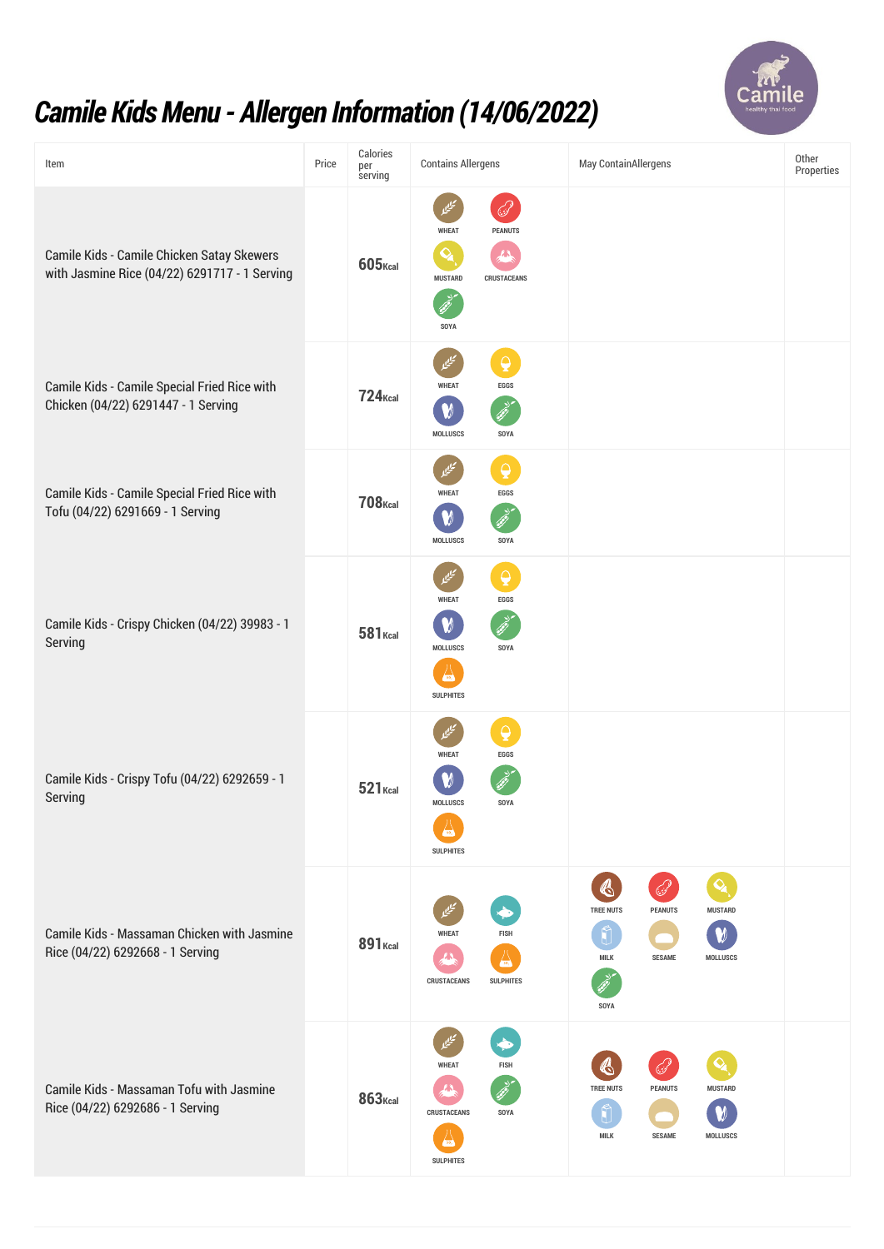

## *Camile KidsMenu - Allergen Information (14/06/2022)*

| Item                                                                                        | Price | Calories<br>per<br>serving | <b>Contains Allergens</b>                                                                                               | May ContainAllergens                                                                                                                            | Other<br>Properties |
|---------------------------------------------------------------------------------------------|-------|----------------------------|-------------------------------------------------------------------------------------------------------------------------|-------------------------------------------------------------------------------------------------------------------------------------------------|---------------------|
| Camile Kids - Camile Chicken Satay Skewers<br>with Jasmine Rice (04/22) 6291717 - 1 Serving |       | $605$ <sub>Kcal</sub>      | فرني<br><b>WHEAT</b><br><b>PEANUTS</b><br>$\mathbf{Q}_\mathbf{z}$<br>LΔ<br><b>MUSTARD</b><br><b>CRUSTACEANS</b><br>SOYA |                                                                                                                                                 |                     |
| <b>Camile Kids - Camile Special Fried Rice with</b><br>Chicken (04/22) 6291447 - 1 Serving  |       | <b>724</b> Kcal            | $\overline{Q}$<br>تيليما<br><b>WHEAT</b><br><b>EGGS</b><br>W<br><b>MOLLUSCS</b><br>SOYA                                 |                                                                                                                                                 |                     |
| <b>Camile Kids - Camile Special Fried Rice with</b><br>Tofu (04/22) 6291669 - 1 Serving     |       | <b>708</b> Kcal            | $\mathbf{\Theta}$<br>مييي<br><b>WHEAT</b><br>EGGS<br><b>MOLLUSCS</b><br>SOYA                                            |                                                                                                                                                 |                     |
| Camile Kids - Crispy Chicken (04/22) 39983 - 1<br>Serving                                   |       | <b>581</b> Kcal            | $\overline{\mathbf{Q}}$<br>مييما<br><b>WHEAT</b><br>EGGS<br><b>MOLLUSCS</b><br>SOYA<br>œ<br><b>SULPHITES</b>            |                                                                                                                                                 |                     |
| Camile Kids - Crispy Tofu (04/22) 6292659 - 1<br>Serving                                    |       | $521$ Kcal                 | $\overline{\mathbf{Q}}$<br><b>WHEAT</b><br>EGGS<br><b>MOLLUSCS</b><br>SOYA<br><b>SULPHITES</b>                          |                                                                                                                                                 |                     |
| Camile Kids - Massaman Chicken with Jasmine<br>Rice (04/22) 6292668 - 1 Serving             |       | <b>891</b> Kcal            | <b>WHEAT</b><br><b>FISH</b><br><b>CRUSTACEANS</b><br><b>SULPHITES</b>                                                   | $\mathbf{Q}_\mathbf{a}$<br>K<br><b>TREE NUTS</b><br><b>PEANUTS</b><br><b>MUSTARD</b><br><b>MILK</b><br><b>SESAME</b><br><b>MOLLUSCS</b><br>SOYA |                     |
| <b>Camile Kids - Massaman Tofu with Jasmine</b><br>Rice (04/22) 6292686 - 1 Serving         |       | $863$ <sub>Kcal</sub>      | <b>WHEAT</b><br><b>FISH</b><br><b>CRUSTACEANS</b><br>SOYA<br>so,<br><b>SULPHITES</b>                                    | $\mathfrak{G}$<br><b>TREE NUTS</b><br><b>PEANUTS</b><br><b>MUSTARD</b><br><b>MILK</b><br><b>SESAME</b><br><b>MOLLUSCS</b>                       |                     |